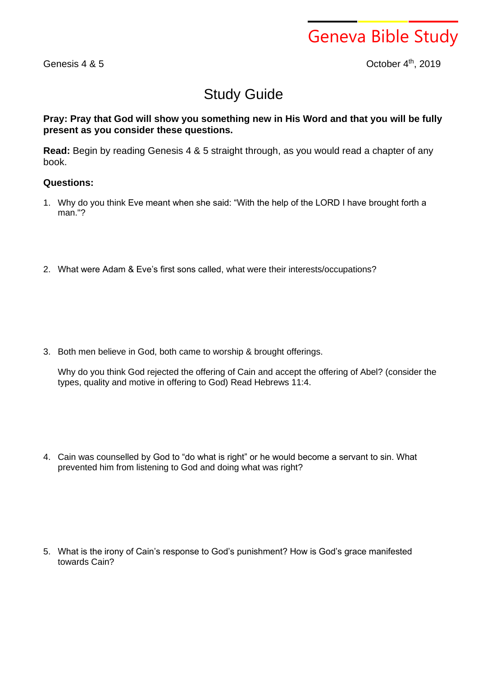## Geneva Bible Study

Genesis 4 & 5

th , 2019

## Study Guide

## **Pray: Pray that God will show you something new in His Word and that you will be fully present as you consider these questions.**

**Read:** Begin by reading Genesis 4 & 5 straight through, as you would read a chapter of any book.

## **Questions:**

- 1. Why do you think Eve meant when she said: "With the help of the LORD I have brought forth a man."?
- 2. What were Adam & Eve's first sons called, what were their interests/occupations?

3. Both men believe in God, both came to worship & brought offerings.

Why do you think God rejected the offering of Cain and accept the offering of Abel? (consider the types, quality and motive in offering to God) Read Hebrews 11:4.

4. Cain was counselled by God to "do what is right" or he would become a servant to sin. What prevented him from listening to God and doing what was right?

5. What is the irony of Cain's response to God's punishment? How is God's grace manifested towards Cain?